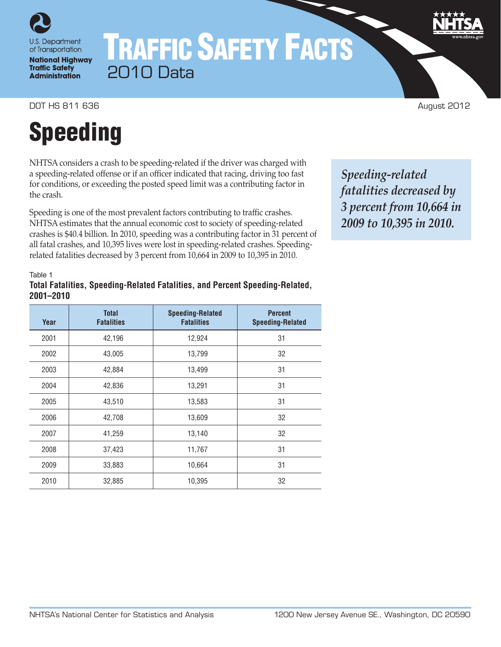

of Transportation **National Highway Traffic Safety Administration** 

## TRAFFIC SAFETY FACTS 2010 Data

DOT HS 811 636 August 2012

# Speeding

NHTSA considers a crash to be speeding-related if the driver was charged with a speeding-related offense or if an officer indicated that racing, driving too fast for conditions, or exceeding the posted speed limit was a contributing factor in the crash.

Speeding is one of the most prevalent factors contributing to traffic crashes. NHTSA estimates that the annual economic cost to society of speeding-related crashes is \$40.4 billion. In 2010, speeding was a contributing factor in 31 percent of all fatal crashes, and 10,395 lives were lost in speeding-related crashes. Speedingrelated fatalities decreased by 3 percent from 10,664 in 2009 to 10,395 in 2010.

*Speeding-related fatalities decreased by 3 percent from 10,664 in 2009 to 10,395 in 2010.*

Table 1

#### **Total Fatalities, Speeding-Related Fatalities, and Percent Speeding-Related, 2001–2010**

| Year | <b>Total</b><br><b>Fatalities</b> | <b>Speeding-Related</b><br><b>Fatalities</b> | <b>Percent</b><br><b>Speeding-Related</b> |
|------|-----------------------------------|----------------------------------------------|-------------------------------------------|
| 2001 | 42,196                            | 12,924                                       | 31                                        |
| 2002 | 43,005                            | 13,799                                       | 32                                        |
| 2003 | 42,884                            | 13,499                                       | 31                                        |
| 2004 | 42,836                            | 13,291                                       | 31                                        |
| 2005 | 43,510                            | 13,583                                       | 31                                        |
| 2006 | 42,708                            | 13,609                                       | 32                                        |
| 2007 | 41,259                            | 13,140                                       | 32                                        |
| 2008 | 37,423                            | 11,767                                       | 31                                        |
| 2009 | 33,883                            | 10,664                                       | 31                                        |
| 2010 | 32,885                            | 10,395                                       | 32                                        |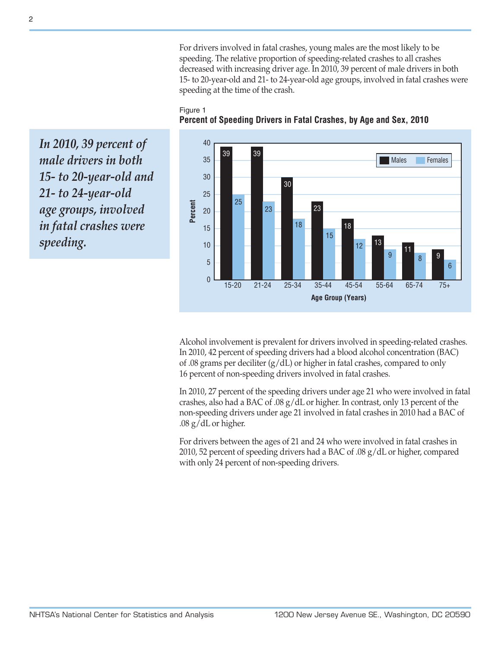For drivers involved in fatal crashes, young males are the most likely to be speeding. The relative proportion of speeding-related crashes to all crashes decreased with increasing driver age. In 2010, 39 percent of male drivers in both 15- to 20-year-old and 21- to 24-year-old age groups, involved in fatal crashes were speeding at the time of the crash.

#### Figure 1 **Percent of Speeding Drivers in Fatal Crashes, by Age and Sex, 2010**

 $\overline{0}$ 5 10 15 20 25 30 35 40 21-24 **Percent** 15-20 39 25 23 18 15 12 <sup>9</sup> <sup>8</sup> 6 39 30 23 18 13 11 9 25-34 35-44 45-54 55-64 65-74 75+ **Age Group (Years)** Males Females

*In 2010, 39 percent of male drivers in both 15- to 20-year-old and 21- to 24-year-old age groups, involved in fatal crashes were speeding.*

> Alcohol involvement is prevalent for drivers involved in speeding-related crashes. In 2010, 42 percent of speeding drivers had a blood alcohol concentration (BAC) of .08 grams per deciliter (g/dL) or higher in fatal crashes, compared to only 16 percent of non-speeding drivers involved in fatal crashes.

> In 2010, 27 percent of the speeding drivers under age 21 who were involved in fatal crashes, also had a BAC of .08 g/dL or higher. In contrast, only 13 percent of the non-speeding drivers under age 21 involved in fatal crashes in 2010 had a BAC of .08 g/dL or higher.

For drivers between the ages of 21 and 24 who were involved in fatal crashes in 2010, 52 percent of speeding drivers had a BAC of .08 g/dL or higher, compared with only 24 percent of non-speeding drivers.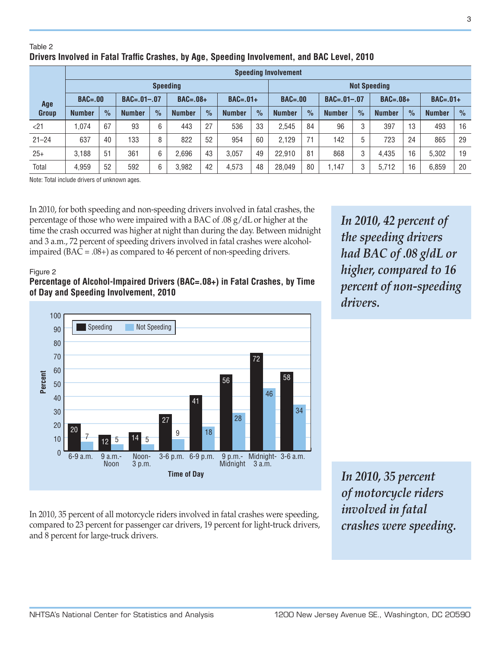#### Table 2 **Drivers Involved in Fatal Traffic Crashes, by Age, Speeding Involvement, and BAC Level, 2010**

|              | <b>Speeding Involvement</b> |               |                   |               |               |               |               |               |                     |               |                   |               |               |               |               |               |
|--------------|-----------------------------|---------------|-------------------|---------------|---------------|---------------|---------------|---------------|---------------------|---------------|-------------------|---------------|---------------|---------------|---------------|---------------|
|              | <b>Speeding</b>             |               |                   |               |               |               |               |               | <b>Not Speeding</b> |               |                   |               |               |               |               |               |
| Age          | $BAC = .00$                 |               | $BAC = .01 - .07$ |               | $BAC=.08+$    |               | $BAC=.01+$    |               | $BAC = .00$         |               | $BAC = .01 - .07$ |               | $BAC=.08+$    |               | $BAC=.01+$    |               |
| <b>Group</b> | <b>Number</b>               | $\frac{9}{6}$ | <b>Number</b>     | $\frac{1}{2}$ | <b>Number</b> | $\frac{0}{0}$ | <b>Number</b> | $\frac{9}{6}$ | <b>Number</b>       | $\frac{9}{6}$ | <b>Number</b>     | $\frac{9}{6}$ | <b>Number</b> | $\frac{9}{6}$ | <b>Number</b> | $\frac{1}{2}$ |
| < 21         | 1,074                       | 67            | 93                | 6             | 443           | 27            | 536           | 33            | 2,545               | 84            | 96                | 3             | 397           | 13            | 493           | 16            |
| $21 - 24$    | 637                         | 40            | 133               | 8             | 822           | 52            | 954           | 60            | 2.129               | 71            | 142               | 5             | 723           | 24            | 865           | 29            |
| $25+$        | 3.188                       | 51            | 361               | 6             | 2.696         | 43            | 3.057         | 49            | 22,910              | 81            | 868               | 3             | 4,435         | 16            | 5,302         | 19            |
| Total        | 4,959                       | 52            | 592               | 6             | 3,982         | 42            | 4,573         | 48            | 28,049              | 80            | 1.147             | 3             | 5,712         | 16            | 6,859         | 20            |

Note: Total include drivers of unknown ages.

In 2010, for both speeding and non-speeding drivers involved in fatal crashes, the percentage of those who were impaired with a BAC of .08 g/dL or higher at the time the crash occurred was higher at night than during the day. Between midnight and 3 a.m., 72 percent of speeding drivers involved in fatal crashes were alcoholimpaired (BAC = .08+) as compared to 46 percent of non-speeding drivers.

#### Figure 2

#### **Percentage of Alcohol-Impaired Drivers (BAC=.08+) in Fatal Crashes, by Time of Day and Speeding Involvement, 2010**



In 2010, 35 percent of all motorcycle riders involved in fatal crashes were speeding, compared to 23 percent for passenger car drivers, 19 percent for light-truck drivers, and 8 percent for large-truck drivers.

*In 2010, 42 percent of the speeding drivers had BAC of .08 g/dL or higher, compared to 16 percent of non-speeding drivers.*

*In 2010, 35 percent of motorcycle riders involved in fatal crashes were speeding.*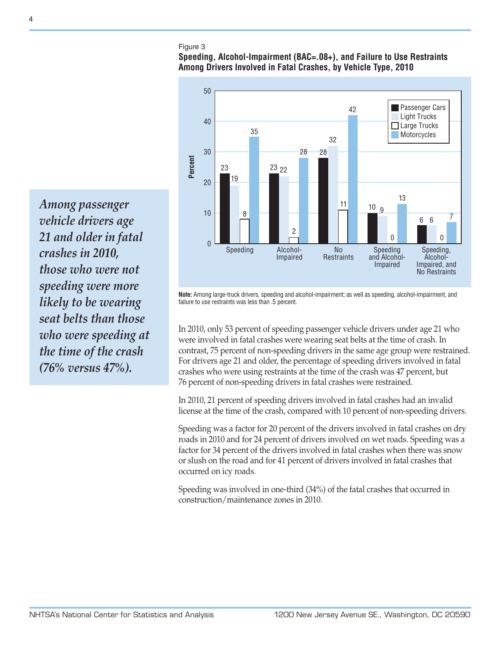#### Figure 3

#### **Speeding, Alcohol-Impairment (BAC=.08+), and Failure to Use Restraints Among Drivers Involved in Fatal Crashes, by Vehicle Type, 2010**



*Among passenger vehicle drivers age 21 and older in fatal crashes in 2010, those who were not speeding were more likely to be wearing seat belts than those who were speeding at the time of the crash (76% versus 47%).*

**Note:** Among large-truck drivers, speeding and alcohol-impairment; as well as speeding, alcohol-impairment, and failure to use restraints was less than .5 percent.

In 2010, only 53 percent of speeding passenger vehicle drivers under age 21 who were involved in fatal crashes were wearing seat belts at the time of crash. In contrast, 75 percent of non-speeding drivers in the same age group were restrained. For drivers age 21 and older, the percentage of speeding drivers involved in fatal crashes who were using restraints at the time of the crash was 47 percent, but 76 percent of non-speeding drivers in fatal crashes were restrained.

In 2010, 21 percent of speeding drivers involved in fatal crashes had an invalid license at the time of the crash, compared with 10 percent of non-speeding drivers.

Speeding was a factor for 20 percent of the drivers involved in fatal crashes on dry roads in 2010 and for 24 percent of drivers involved on wet roads. Speeding was a factor for 34 percent of the drivers involved in fatal crashes when there was snow or slush on the road and for 41 percent of drivers involved in fatal crashes that occurred on icy roads.

Speeding was involved in one-third (34%) of the fatal crashes that occurred in construction/maintenance zones in 2010.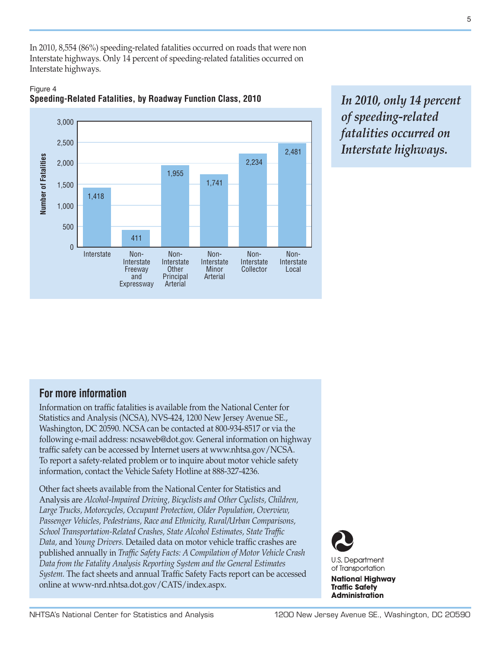In 2010, 8,554 (86%) speeding-related fatalities occurred on roads that were non Interstate highways. Only 14 percent of speeding-related fatalities occurred on Interstate highways.





*In 2010, only 14 percent of speeding-related fatalities occurred on Interstate highways.*

### **For more information**

Information on traffic fatalities is available from the National Center for Statistics and Analysis (NCSA), NVS-424, 1200 New Jersey Avenue SE., Washington, DC 20590. NCSA can be contacted at 800-934-8517 or via the following e-mail address: [ncsaweb@dot.gov](mailto:ncsaweb%40dot.gov?subject=). General information on highway traffic safety can be accessed by Internet users at <www.nhtsa.gov/NCSA>. To report a safety-related problem or to inquire about motor vehicle safety information, contact the Vehicle Safety Hotline at 888-327-4236.

Other fact sheets available from the National Center for Statistics and Analysis are *Alcohol-Impaired Driving, Bicyclists and Other Cyclists, Children, Large Trucks, Motorcycles, Occupant Protection, Older Population, Overview, Passenger Vehicles, Pedestrians, Race and Ethnicity, Rural/Urban Comparisons, School Transportation-Related Crashes, State Alcohol Estimates, State Traffic Data,* and *Young Drivers.* Detailed data on motor vehicle traffic crashes are published annually in *Traffic Safety Facts: A Compilation of Motor Vehicle Crash Data from the Fatality Analysis Reporting System and the General Estimates System.* The fact sheets and annual Traffic Safety Facts report can be accessed online at [www-nrd.nhtsa.dot.gov/CATS/index.aspx](http://www-nrd.nhtsa.dot.gov/CATS/index.aspx).



**Administration**